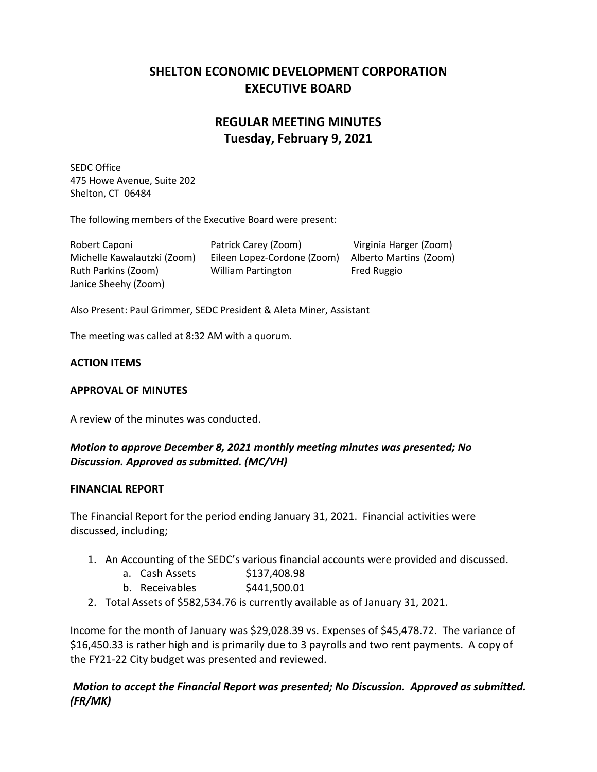## **SHELTON ECONOMIC DEVELOPMENT CORPORATION EXECUTIVE BOARD**

# **REGULAR MEETING MINUTES Tuesday, February 9, 2021**

SEDC Office 475 Howe Avenue, Suite 202 Shelton, CT 06484

The following members of the Executive Board were present:

Robert Caponi Patrick Carey (Zoom) Virginia Harger (Zoom) Michelle Kawalautzki (Zoom) Eileen Lopez-Cordone (Zoom) Alberto Martins (Zoom) Ruth Parkins (Zoom) William Partington Fred Ruggio Janice Sheehy (Zoom)

Also Present: Paul Grimmer, SEDC President & Aleta Miner, Assistant

The meeting was called at 8:32 AM with a quorum.

#### **ACTION ITEMS**

#### **APPROVAL OF MINUTES**

A review of the minutes was conducted.

### *Motion to approve December 8, 2021 monthly meeting minutes was presented; No Discussion. Approved as submitted. (MC/VH)*

#### **FINANCIAL REPORT**

The Financial Report for the period ending January 31, 2021. Financial activities were discussed, including;

- 1. An Accounting of the SEDC's various financial accounts were provided and discussed.
	- a. Cash Assets \$137,408.98
	- b. Receivables \$441,500.01
- 2. Total Assets of \$582,534.76 is currently available as of January 31, 2021.

Income for the month of January was \$29,028.39 vs. Expenses of \$45,478.72. The variance of \$16,450.33 is rather high and is primarily due to 3 payrolls and two rent payments. A copy of the FY21-22 City budget was presented and reviewed.

*Motion to accept the Financial Report was presented; No Discussion. Approved as submitted. (FR/MK)*